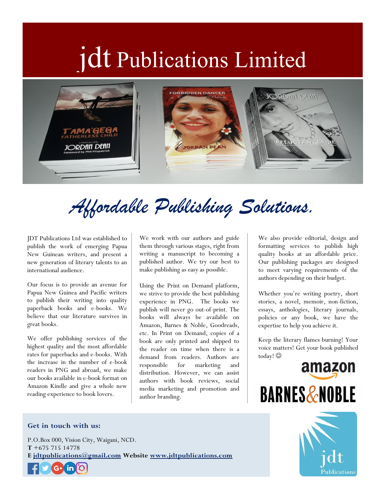# jdt Publications Limited



# *Affordable Publishing Solutions.*

JDT Publications Ltd was established to publish the work of emerging Papua New Guinean writers, and present a new generation of literary talents to an international audience.

Our focus is to provide an avenue for Papua New Guinea and Pacific writers to publish their writing into quality paperback books and e-books. We believe that our literature survives in great books.

We offer publishing services of the highest quality and the most affordable rates for paperbacks and e-books. With the increase in the number of e-book readers in PNG and abroad, we make our books available in e-book format on Amazon Kindle and give a whole new reading experience to book lovers.

We work with our authors and guide them through various stages, right from writing a manuscript to becoming a published author. We try our best to make publishing as easy as possible.

Using the Print on Demand platform, we strive to provide the best publishing experience in PNG. The books we publish will never go out-of-print. The books will always be available on Amazon, Barnes & Noble, Goodreads, etc. In Print on Demand, copies of a book are only printed and shipped to the reader on time when there is a demand from readers. Authors are responsible for marketing and distribution. However, we can assist authors with book reviews, social media marketing and promotion and author branding.

We also provide editorial, design and formatting services to publish high quality books at an affordable price. Our publishing packages are designed to meet varying requirements of the authors depending on their budget.

Whether you're writing poetry, short stories, a novel, memoir, non-fiction, essays, anthologies, literary journals, policies or any book, we have the expertise to help you achieve it.

Keep the literary flames burning! Your voice matters! Get your book published today!



### **Get in touch with us:**

P.O.Box 000, Vision City, Waigani, NCD. **T** +675 715 14778 **E [jdtpublications@gmail.com](mailto:jdtpublications@gmail.com) Website [www.jdtpublications.com](http://www.jdtpublications.com/)**  $G+$ ) in

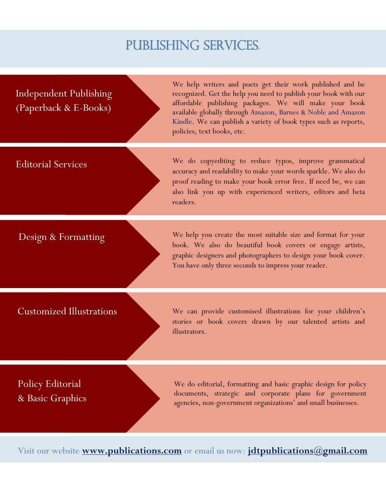# PUBLISHING SERVICES.

Independent Publishing (Paperback & E-Books)

We help writers and poets get their work published and be recognized. Get the help you need to publish your book with our affordable publishing packages. We will make your book available globally through Amazon, Barnes & Noble and Amazon Kindle. We can publish a variety of book types such as reports, policies, text books, etc.

Editorial Services We do copyediting to reduce typos, improve grammatical accuracy and readability to make your words sparkle. We also do proof reading to make your book error free. If need be, we can also link you up with experienced writers, editors and beta readers.

Design & Formatting We help you create the most suitable size and format for your book. We also do beautiful book covers or engage artists, graphic designers and photographers to design your book cover. You have only three seconds to impress your reader.

### Customized Illustrations

We can provide customised illustrations for your children's stories or book covers drawn by our talented artists and illustrators.

## Policy Editorial & Basic Graphics

We do editorial, formatting and basic graphic design for policy documents, strategic and corporate plans for government agencies, non-government organizations' and small businesses.

Visit our website **[www.publications.com](http://www.publications.com/)** or email us now: **[jdtpublications@gmail.com](mailto:jdtpublications@gmail.com)**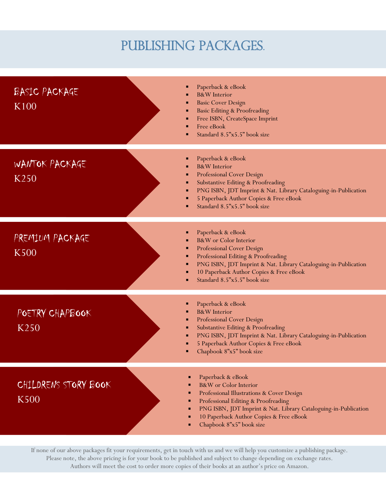# PUBLISHING PACKAGES.

| BASIC PACKAGE<br>K <sub>100</sub>   | Paperback & eBook<br><b>B&amp;W</b> Interior<br><b>Basic Cover Design</b><br>п<br><b>Basic Editing &amp; Proofreading</b><br>п<br>Free ISBN, CreateSpace Imprint<br>٠<br>Free eBook<br>٠<br>Standard 8.5"x5.5" book size                                                                           |
|-------------------------------------|----------------------------------------------------------------------------------------------------------------------------------------------------------------------------------------------------------------------------------------------------------------------------------------------------|
| WANTOK PACKAGE<br>K <sub>250</sub>  | Paperback & eBook<br><b>B&amp;W</b> Interior<br><b>Professional Cover Design</b><br>п<br><b>Substantive Editing &amp; Proofreading</b><br>٠<br>PNG ISBN, JDT Imprint & Nat. Library Cataloguing-in-Publication<br>٠<br>5 Paperback Author Copies & Free eBook<br>٠<br>Standard 8.5"x5.5" book size |
| PREMIUM PACKAGE<br><b>K500</b>      | Paperback & eBook<br>п<br><b>B&amp;W</b> or Color Interior<br>Professional Cover Design<br>٠<br>Professional Editing & Proofreading<br>٠<br>PNG ISBN, JDT Imprint & Nat. Library Cataloguing-in-Publication<br>٠<br>10 Paperback Author Copies & Free eBook<br>٠<br>Standard 8.5"x5.5" book size   |
| POETRY CHAPBOOK<br>K <sub>250</sub> | Paperback & eBook<br>п<br><b>B&amp;W</b> Interior<br>Professional Cover Design<br>٠<br>Substantive Editing & Proofreading<br>٠<br>PNG ISBN, JDT Imprint & Nat. Library Cataloguing-in-Publication<br>٠<br>5 Paperback Author Copies & Free eBook<br>Chapbook 8"x5" book size                       |
| CHILDRENS STORY BOOK<br><b>K500</b> | Paperback & eBook<br>B&W or Color Interior<br>Professional Illustrations & Cover Design<br>Professional Editing & Proofreading<br>PNG ISBN, JDT Imprint & Nat. Library Cataloguing-in-Publication<br>10 Paperback Author Copies & Free eBook<br>Chapbook 8"x5" book size                           |

If none of our above packages fit your requirements, get in touch with us and we will help you customize a publishing package. Please note, the above pricing is for your book to be published and subject to change depending on exchange rates. Authors will meet the cost to order more copies of their books at an author's price on Amazon.